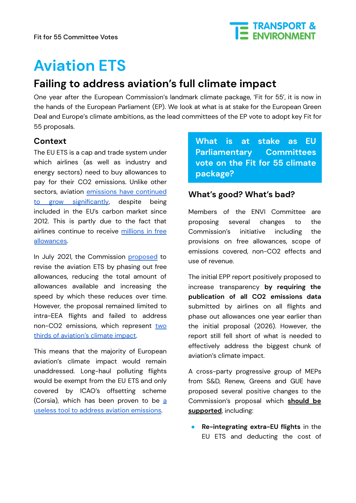

# **Aviation ETS**

# **Failing to address aviation's full climate impact**

One year after the European Commission's landmark climate package, 'Fit for 55', it is now in the hands of the European Parliament (EP). We look at what is at stake for the European Green Deal and Europe's climate ambitions, as the lead committees of the EP vote to adopt key Fit for 55 proposals.

## **Context**

The EU ETS is a cap and trade system under which airlines (as well as industry and energy sectors) need to buy allowances to pay for their CO2 emissions. Unlike other sectors, aviation emissions have [continued](https://www.transportenvironment.org/state-aviation-ets/) to grow [significantly](https://www.transportenvironment.org/state-aviation-ets/), despite being included in the EU's carbon market since 2012. This is partly due to the fact that airlines continue to receive [millions](https://www.transportenvironment.org/discover/europes-dirtiest-airlines-received-millions-in-free-pollution-permits-in-2021/) in free [allowances](https://www.transportenvironment.org/discover/europes-dirtiest-airlines-received-millions-in-free-pollution-permits-in-2021/).

In July 2021, the Commission [proposed](https://eur-lex.europa.eu/legal-content/EN/TXT/?uri=CELEX%3A52021PC0552) to revise the aviation ETS by phasing out free allowances, reducing the total amount of allowances available and increasing the speed by which these reduces over time. However, the proposal remained limited to intra-EEA flights and failed to address non-CO2 emissions, which represent [two](https://www.transportenvironment.org/discover/experts-pin-down-aviations-true-climate-impact/) thirds of [aviation's](https://www.transportenvironment.org/discover/experts-pin-down-aviations-true-climate-impact/) climate impact.

This means that the majority of European aviation's climate impact would remain unaddressed. Long-haul polluting flights would be exempt from the EU ETS and only covered by ICAO's offsetting scheme (Corsi[a](https://www.transportenvironment.org/discover/eus-assessment-corsia-airline-co2-deal/)), which has been proven to be a useless tool to address aviation [emissions](https://www.transportenvironment.org/discover/eus-assessment-corsia-airline-co2-deal/).

**What is at stake as EU Parliamentary Committees vote on the Fit for 55 climate package?**

## **What's good? What's bad?**

Members of the ENVI Committee are proposing several changes to the Commission's initiative including the provisions on free allowances, scope of emissions covered, non-CO2 effects and use of revenue.

The initial EPP report positively proposed to increase transparency **by requiring the publication of all CO2 emissions data** submitted by airlines on all flights and phase out allowances one year earlier than the initial proposal (2026). However, the report still fell short of what is needed to effectively address the biggest chunk of aviation's climate impact.

A cross-party progressive group of MEPs from S&D, Renew, Greens and GUE have proposed several positive changes to the Commission's proposal which **should be supported**, including:

● **Re-integrating extra-EU flights** in the EU ETS and deducting the cost of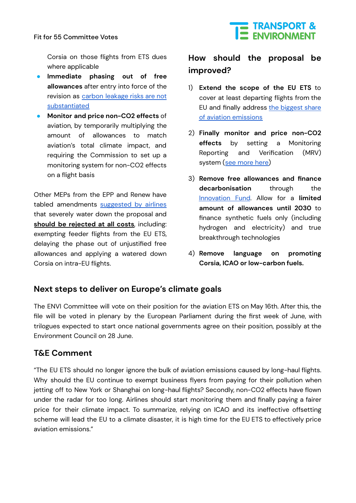#### Fit for 55 Committee Votes



Corsia on those flights from ETS dues where applicable

- **Immediate phasing out of free allowances** after entry into force of the revision as carbon [leakage](https://www.transportenvironment.org/wp-content/uploads/2022/01/TEs-feedback-on-the-ETS-proposal-November-2021-1.pdf) risks are not [substantiated](https://www.transportenvironment.org/wp-content/uploads/2022/01/TEs-feedback-on-the-ETS-proposal-November-2021-1.pdf)
- **Monitor and price non-CO2 effects** of aviation, by temporarily multiplying the amount of allowances to match aviation's total climate impact, and requiring the Commission to set up a monitoring system for non-CO2 effects on a flight basis

Other MEPs from the EPP and Renew have tabled amendments [suggested](https://www.transportenvironment.org/discover/europes-largest-airlines-claim-net-zero-future-whilst-lobbying-to-weaken-eus-climate-laws/) by airlines that severely water down the proposal and **should be rejected at all costs**, including: exempting feeder flights from the EU ETS, delaying the phase out of unjustified free allowances and applying a watered down Corsia on intra-EU flights.

## **How should the proposal be improved?**

- 1) **Extend the scope of the EU ETS** to cover at least departing flights from the EU and finally address the [biggest](https://www.transportenvironment.org/discover/lufthansa-ba-air-france-were-europes-most-polluting-airlines-pre-covid/) share of aviation [emissions](https://www.transportenvironment.org/discover/lufthansa-ba-air-france-were-europes-most-polluting-airlines-pre-covid/)
- 2) **Finally monitor and price non-CO2 effects** by setting a Monitoring Reporting and Verification (MRV) system (see [more](https://www.transportenvironment.org/discover/mitigating-aviations-non-co2-effects-in-the-eus-fit-for-55-package/) here)
- 3) **Remove free allowances and finance decarbonisation** through the [Innovation](https://ec.europa.eu/clima/eu-action/funding-climate-action/innovation-fund_en) Fund. Allow for a **limited amount of allowances until 2030** to finance synthetic fuels only (including hydrogen and electricity) and true breakthrough technologies
- 4) **Remove language on promoting Corsia, ICAO or low-carbon fuels.**

### **Next steps to deliver on Europe's climate goals**

The ENVI Committee will vote on their position for the aviation ETS on May 16th. After this, the file will be voted in plenary by the European Parliament during the first week of June, with trilogues expected to start once national governments agree on their position, possibly at the Environment Council on 28 June.

## **T&E Comment**

"The EU ETS should no longer ignore the bulk of aviation emissions caused by long-haul flights. Why should the EU continue to exempt business flyers from paying for their pollution when jetting off to New York or Shanghai on long-haul flights? Secondly, non-CO2 effects have flown under the radar for too long. Airlines should start monitoring them and finally paying a fairer price for their climate impact. To summarize, relying on ICAO and its ineffective offsetting scheme will lead the EU to a climate disaster, it is high time for the EU ETS to effectively price aviation emissions."